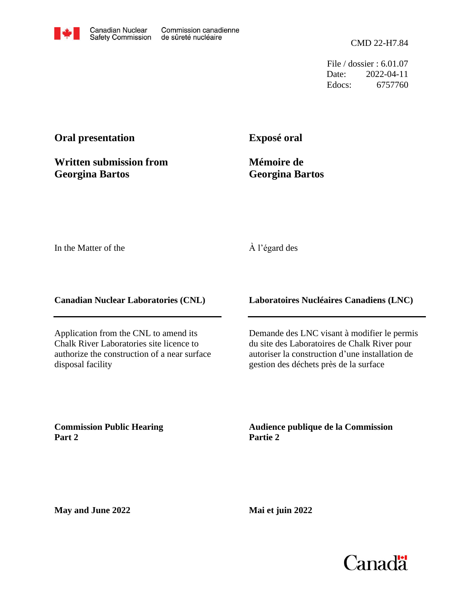File / dossier : 6.01.07 Date: 2022-04-11 Edocs: 6757760

## **Oral presentation**

**Written submission from Georgina Bartos**

**Exposé oral**

**Mémoire de Georgina Bartos**

In the Matter of the

## À l'égard des

**Canadian Nuclear Laboratories (CNL)**

Application from the CNL to amend its Chalk River Laboratories site licence to authorize the construction of a near surface disposal facility

**Laboratoires Nucléaires Canadiens (LNC)**

Demande des LNC visant à modifier le permis du site des Laboratoires de Chalk River pour autoriser la construction d'une installation de gestion des déchets près de la surface

**Commission Public Hearing Part 2**

**Audience publique de la Commission Partie 2**

**May and June 2022**

**Mai et juin 2022**

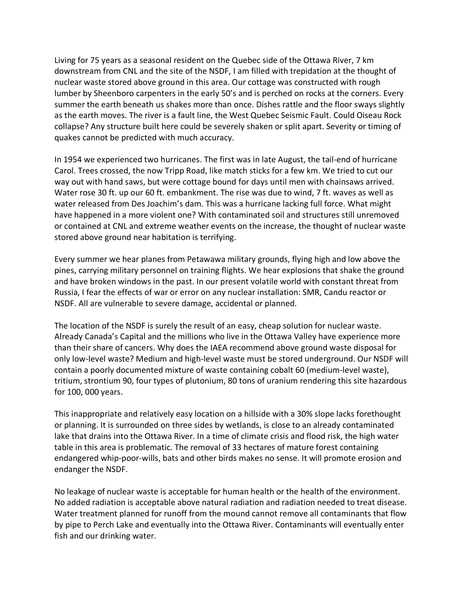Living for 75 years as a seasonal resident on the Quebec side of the Ottawa River, 7 km downstream from CNL and the site of the NSDF, I am filled with trepidation at the thought of nuclear waste stored above ground in this area. Our cottage was constructed with rough lumber by Sheenboro carpenters in the early 50's and is perched on rocks at the corners. Every summer the earth beneath us shakes more than once. Dishes rattle and the floor sways slightly as the earth moves. The river is a fault line, the West Quebec Seismic Fault. Could Oiseau Rock collapse? Any structure built here could be severely shaken or split apart. Severity or timing of quakes cannot be predicted with much accuracy.

In 1954 we experienced two hurricanes. The first was in late August, the tail-end of hurricane Carol. Trees crossed, the now Tripp Road, like match sticks for a few km. We tried to cut our way out with hand saws, but were cottage bound for days until men with chainsaws arrived. Water rose 30 ft. up our 60 ft. embankment. The rise was due to wind, 7 ft. waves as well as water released from Des Joachim's dam. This was a hurricane lacking full force. What might have happened in a more violent one? With contaminated soil and structures still unremoved or contained at CNL and extreme weather events on the increase, the thought of nuclear waste stored above ground near habitation is terrifying.

Every summer we hear planes from Petawawa military grounds, flying high and low above the pines, carrying military personnel on training flights. We hear explosions that shake the ground and have broken windows in the past. In our present volatile world with constant threat from Russia, I fear the effects of war or error on any nuclear installation: SMR, Candu reactor or NSDF. All are vulnerable to severe damage, accidental or planned.

The location of the NSDF is surely the result of an easy, cheap solution for nuclear waste. Already Canada's Capital and the millions who live in the Ottawa Valley have experience more than their share of cancers. Why does the IAEA recommend above ground waste disposal for only low-level waste? Medium and high-level waste must be stored underground. Our NSDF will contain a poorly documented mixture of waste containing cobalt 60 (medium-level waste), tritium, strontium 90, four types of plutonium, 80 tons of uranium rendering this site hazardous for 100, 000 years.

This inappropriate and relatively easy location on a hillside with a 30% slope lacks forethought or planning. It is surrounded on three sides by wetlands, is close to an already contaminated lake that drains into the Ottawa River. In a time of climate crisis and flood risk, the high water table in this area is problematic. The removal of 33 hectares of mature forest containing endangered whip-poor-wills, bats and other birds makes no sense. It will promote erosion and endanger the NSDF.

No leakage of nuclear waste is acceptable for human health or the health of the environment. No added radiation is acceptable above natural radiation and radiation needed to treat disease. Water treatment planned for runoff from the mound cannot remove all contaminants that flow by pipe to Perch Lake and eventually into the Ottawa River. Contaminants will eventually enter fish and our drinking water.